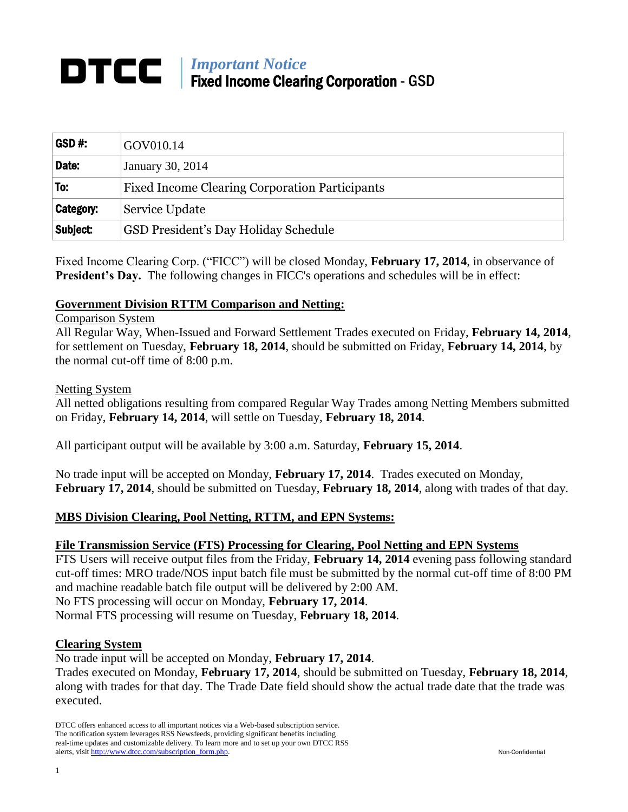# *Important Notice* Fixed Income Clearing Corporation - GSD

| GSD#:            | GOV010.14                                             |
|------------------|-------------------------------------------------------|
| Date:            | January 30, 2014                                      |
| To:              | <b>Fixed Income Clearing Corporation Participants</b> |
| <b>Category:</b> | Service Update                                        |
| Subject:         | GSD President's Day Holiday Schedule                  |

Fixed Income Clearing Corp. ("FICC") will be closed Monday, **February 17, 2014**, in observance of **President's Day.** The following changes in FICC's operations and schedules will be in effect:

# **Government Division RTTM Comparison and Netting:**

#### Comparison System

All Regular Way, When-Issued and Forward Settlement Trades executed on Friday, **February 14, 2014**, for settlement on Tuesday, **February 18, 2014**, should be submitted on Friday, **February 14, 2014**, by the normal cut-off time of 8:00 p.m.

#### Netting System

All netted obligations resulting from compared Regular Way Trades among Netting Members submitted on Friday, **February 14, 2014**, will settle on Tuesday, **February 18, 2014**.

All participant output will be available by 3:00 a.m. Saturday, **February 15, 2014**.

No trade input will be accepted on Monday, **February 17, 2014**. Trades executed on Monday, **February 17, 2014**, should be submitted on Tuesday, **February 18, 2014**, along with trades of that day.

## **MBS Division Clearing, Pool Netting, RTTM, and EPN Systems:**

## **File Transmission Service (FTS) Processing for Clearing, Pool Netting and EPN Systems**

FTS Users will receive output files from the Friday, **February 14, 2014** evening pass following standard cut-off times: MRO trade/NOS input batch file must be submitted by the normal cut-off time of 8:00 PM and machine readable batch file output will be delivered by 2:00 AM. No FTS processing will occur on Monday, **February 17, 2014**.

Normal FTS processing will resume on Tuesday, **February 18, 2014**.

#### **Clearing System**

No trade input will be accepted on Monday, **February 17, 2014**.

Trades executed on Monday, **February 17, 2014**, should be submitted on Tuesday, **February 18, 2014**, along with trades for that day. The Trade Date field should show the actual trade date that the trade was executed.

DTCC offers enhanced access to all important notices via a Web-based subscription service. The notification system leverages RSS Newsfeeds, providing significant benefits including real-time updates and customizable delivery. To learn more and to set up your own DTCC RSS alerts, visit http://www.dtcc.com/subscription\_form.php. Non-Confidential